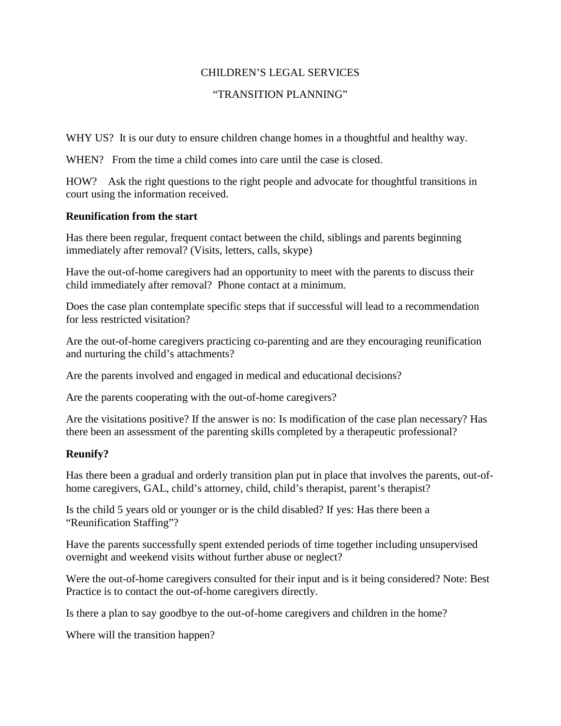# CHILDREN'S LEGAL SERVICES

## "TRANSITION PLANNING"

WHY US? It is our duty to ensure children change homes in a thoughtful and healthy way.

WHEN? From the time a child comes into care until the case is closed.

HOW? Ask the right questions to the right people and advocate for thoughtful transitions in court using the information received.

#### **Reunification from the start**

Has there been regular, frequent contact between the child, siblings and parents beginning immediately after removal? (Visits, letters, calls, skype)

Have the out-of-home caregivers had an opportunity to meet with the parents to discuss their child immediately after removal? Phone contact at a minimum.

Does the case plan contemplate specific steps that if successful will lead to a recommendation for less restricted visitation?

Are the out-of-home caregivers practicing co-parenting and are they encouraging reunification and nurturing the child's attachments?

Are the parents involved and engaged in medical and educational decisions?

Are the parents cooperating with the out-of-home caregivers?

Are the visitations positive? If the answer is no: Is modification of the case plan necessary? Has there been an assessment of the parenting skills completed by a therapeutic professional?

# **Reunify?**

Has there been a gradual and orderly transition plan put in place that involves the parents, out-ofhome caregivers, GAL, child's attorney, child, child's therapist, parent's therapist?

Is the child 5 years old or younger or is the child disabled? If yes: Has there been a "Reunification Staffing"?

Have the parents successfully spent extended periods of time together including unsupervised overnight and weekend visits without further abuse or neglect?

Were the out-of-home caregivers consulted for their input and is it being considered? Note: Best Practice is to contact the out-of-home caregivers directly.

Is there a plan to say goodbye to the out-of-home caregivers and children in the home?

Where will the transition happen?